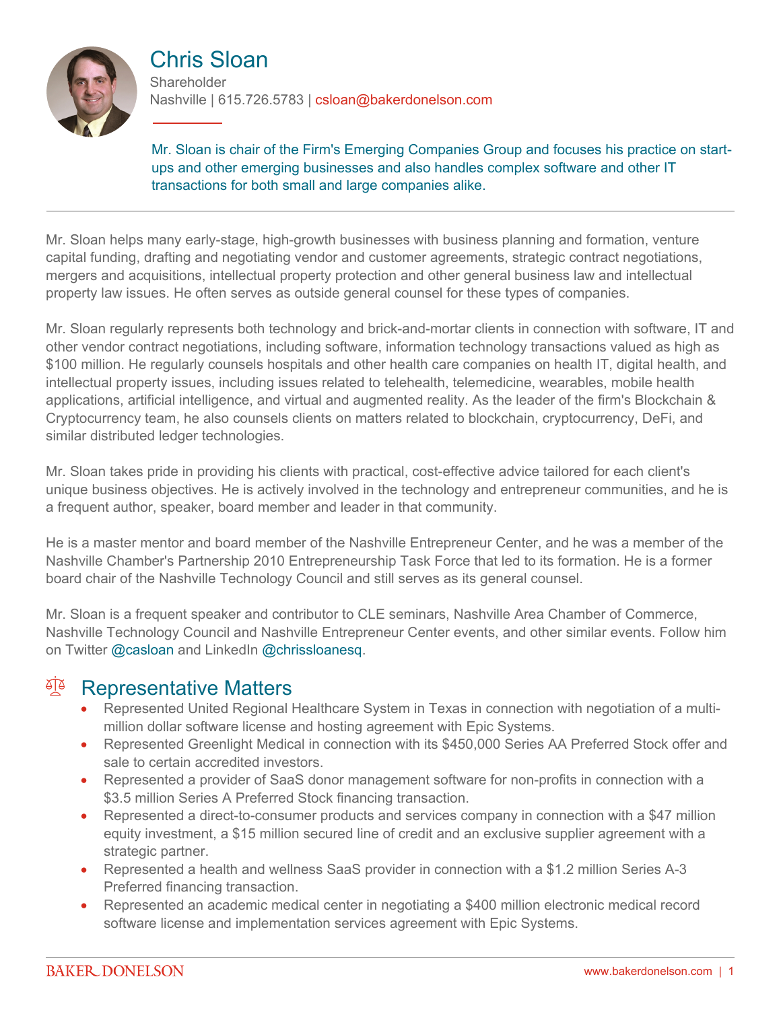

## Chris Sloan

**Shareholder** Nashville | 615.726.5783 | csloan@bakerdonelson.com

Mr. Sloan is chair of the Firm's Emerging Companies Group and focuses his practice on startups and other emerging businesses and also handles complex software and other IT transactions for both small and large companies alike.

Mr. Sloan helps many early-stage, high-growth businesses with business planning and formation, venture capital funding, drafting and negotiating vendor and customer agreements, strategic contract negotiations, mergers and acquisitions, intellectual property protection and other general business law and intellectual property law issues. He often serves as outside general counsel for these types of companies.

Mr. Sloan regularly represents both technology and brick-and-mortar clients in connection with software, IT and other vendor contract negotiations, including software, information technology transactions valued as high as \$100 million. He regularly counsels hospitals and other health care companies on health IT, digital health, and intellectual property issues, including issues related to telehealth, telemedicine, wearables, mobile health applications, artificial intelligence, and virtual and augmented reality. As the leader of the firm's Blockchain & Cryptocurrency team, he also counsels clients on matters related to blockchain, cryptocurrency, DeFi, and similar distributed ledger technologies.

Mr. Sloan takes pride in providing his clients with practical, cost-effective advice tailored for each client's unique business objectives. He is actively involved in the technology and entrepreneur communities, and he is a frequent author, speaker, board member and leader in that community.

He is a master mentor and board member of the Nashville Entrepreneur Center, and he was a member of the Nashville Chamber's Partnership 2010 Entrepreneurship Task Force that led to its formation. He is a former board chair of the Nashville Technology Council and still serves as its general counsel.

Mr. Sloan is a frequent speaker and contributor to CLE seminars, Nashville Area Chamber of Commerce, Nashville Technology Council and Nashville Entrepreneur Center events, and other similar events. Follow him on Twitter [@casloan](http://twitter.com/#!/casloan) and LinkedIn [@chrissloanesq.](http://www.linkedin.com/in/chrissloanesq)

### <sup>A</sup> Representative Matters

- Represented United Regional Healthcare System in Texas in connection with negotiation of a multimillion dollar software license and hosting agreement with Epic Systems.
- Represented Greenlight Medical in connection with its \$450,000 Series AA Preferred Stock offer and sale to certain accredited investors.
- Represented a provider of SaaS donor management software for non-profits in connection with a \$3.5 million Series A Preferred Stock financing transaction.
- Represented a direct-to-consumer products and services company in connection with a \$47 million equity investment, a \$15 million secured line of credit and an exclusive supplier agreement with a strategic partner.
- Represented a health and wellness SaaS provider in connection with a \$1.2 million Series A-3 Preferred financing transaction.
- Represented an academic medical center in negotiating a \$400 million electronic medical record software license and implementation services agreement with Epic Systems.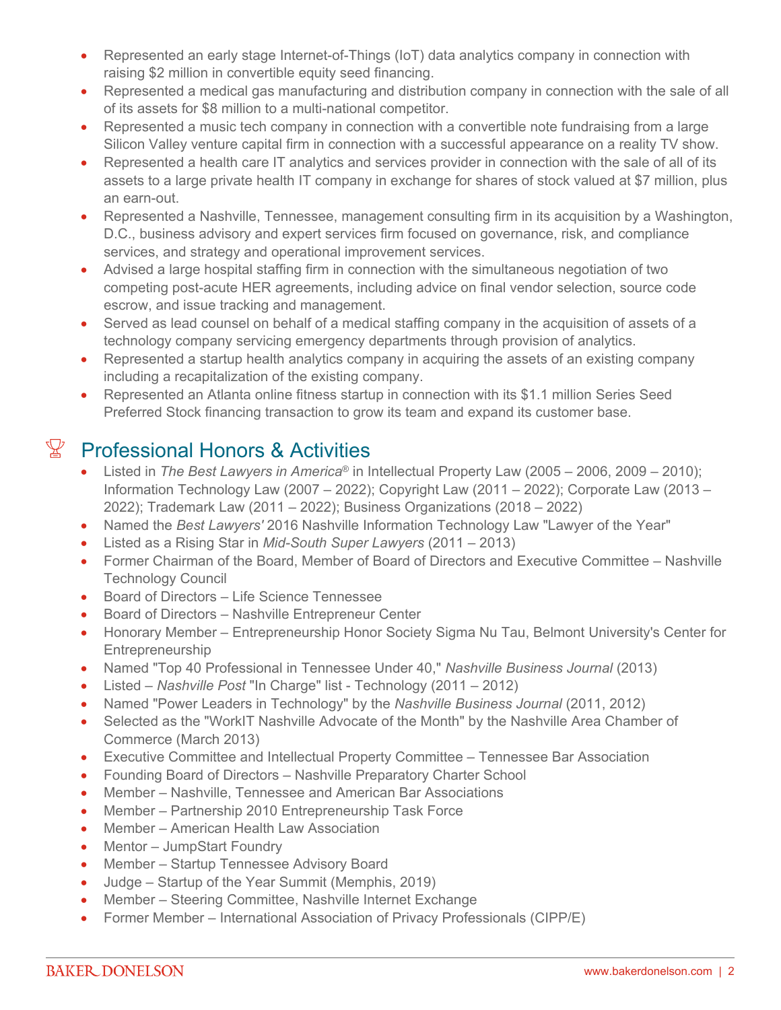- Represented an early stage Internet-of-Things (IoT) data analytics company in connection with raising \$2 million in convertible equity seed financing.
- Represented a medical gas manufacturing and distribution company in connection with the sale of all of its assets for \$8 million to a multi-national competitor.
- Represented a music tech company in connection with a convertible note fundraising from a large Silicon Valley venture capital firm in connection with a successful appearance on a reality TV show.
- Represented a health care IT analytics and services provider in connection with the sale of all of its assets to a large private health IT company in exchange for shares of stock valued at \$7 million, plus an earn-out.
- Represented a Nashville, Tennessee, management consulting firm in its acquisition by a Washington, D.C., business advisory and expert services firm focused on governance, risk, and compliance services, and strategy and operational improvement services.
- Advised a large hospital staffing firm in connection with the simultaneous negotiation of two competing post-acute HER agreements, including advice on final vendor selection, source code escrow, and issue tracking and management.
- Served as lead counsel on behalf of a medical staffing company in the acquisition of assets of a technology company servicing emergency departments through provision of analytics.
- Represented a startup health analytics company in acquiring the assets of an existing company including a recapitalization of the existing company.
- Represented an Atlanta online fitness startup in connection with its \$1.1 million Series Seed Preferred Stock financing transaction to grow its team and expand its customer base.

# $\mathbb{Y}$  Professional Honors & Activities

- Listed in *The Best Lawyers in America*® in Intellectual Property Law (2005 2006, 2009 2010); Information Technology Law (2007 – 2022); Copyright Law (2011 – 2022); Corporate Law (2013 – 2022); Trademark Law (2011 – 2022); Business Organizations (2018 – 2022)
- Named the *Best Lawyers'* 2016 Nashville Information Technology Law "Lawyer of the Year"
- Listed as a Rising Star in *Mid-South Super Lawyers* (2011 2013)
- Former Chairman of the Board, Member of Board of Directors and Executive Committee Nashville Technology Council
- Board of Directors Life Science Tennessee
- Board of Directors Nashville Entrepreneur Center
- Honorary Member Entrepreneurship Honor Society Sigma Nu Tau, Belmont University's Center for Entrepreneurship
- Named "Top 40 Professional in Tennessee Under 40," *Nashville Business Journal* (2013)
- Listed *Nashville Post* "In Charge" list Technology (2011 2012)
- Named "Power Leaders in Technology" by the *Nashville Business Journal* (2011, 2012)
- Selected as the "WorkIT Nashville Advocate of the Month" by the Nashville Area Chamber of Commerce (March 2013)
- Executive Committee and Intellectual Property Committee Tennessee Bar Association
- Founding Board of Directors Nashville Preparatory Charter School
- Member Nashville, Tennessee and American Bar Associations
- Member Partnership 2010 Entrepreneurship Task Force
- Member American Health Law Association
- Mentor JumpStart Foundry
- Member Startup Tennessee Advisory Board
- Judge Startup of the Year Summit (Memphis, 2019)
- Member Steering Committee, Nashville Internet Exchange
- Former Member International Association of Privacy Professionals (CIPP/E)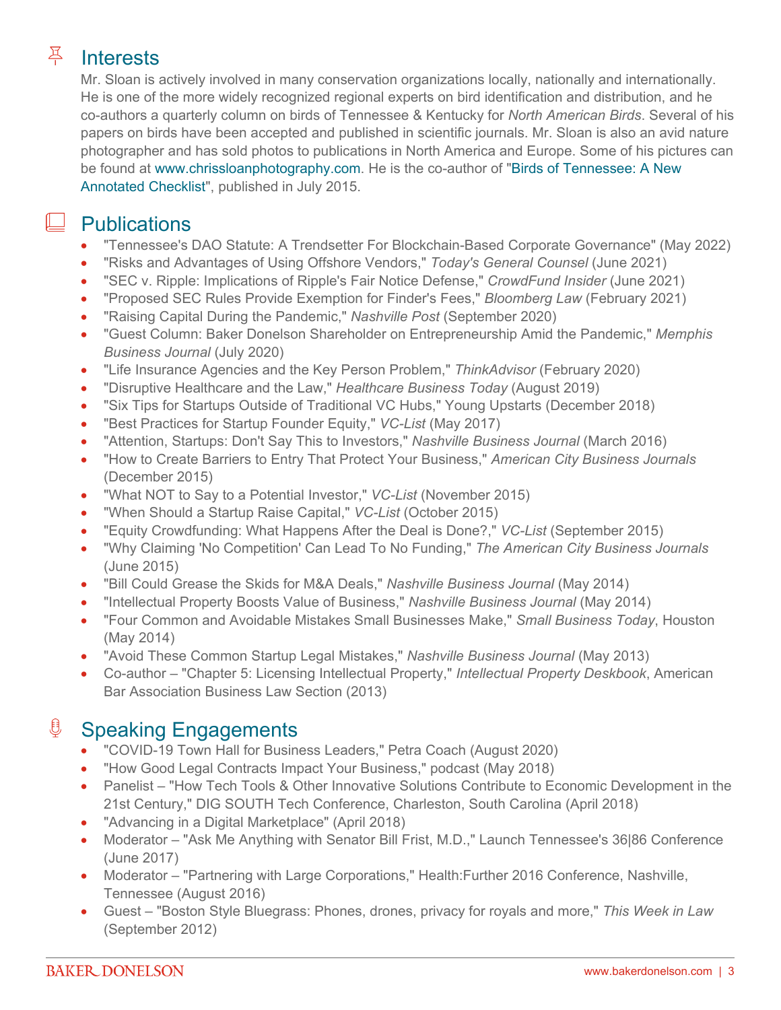# Interests

Mr. Sloan is actively involved in many conservation organizations locally, nationally and internationally. He is one of the more widely recognized regional experts on bird identification and distribution, and he co-authors a quarterly column on birds of Tennessee & Kentucky for *North American Birds*. Several of his papers on birds have been accepted and published in scientific journals. Mr. Sloan is also an avid nature photographer and has sold photos to publications in North America and Europe. Some of his pictures can be found at [www.chrissloanphotography.com.](http://www.chrissloanphotography.com/) He is the co-author of ["Birds of Tennessee: A New](http://www.amazon.com/Birds-Tennessee-New-Annotated-Checklist/dp/1507815751/)  [Annotated Checklist](http://www.amazon.com/Birds-Tennessee-New-Annotated-Checklist/dp/1507815751/)", published in July 2015.

#### **Publications**

- "Tennessee's DAO Statute: A Trendsetter For Blockchain-Based Corporate Governance" (May 2022)
- "Risks and Advantages of Using Offshore Vendors," *Today's General Counsel* (June 2021)
- "SEC v. Ripple: Implications of Ripple's Fair Notice Defense," *CrowdFund Insider* (June 2021)
- "Proposed SEC Rules Provide Exemption for Finder's Fees," *Bloomberg Law* (February 2021)
- "Raising Capital During the Pandemic," *Nashville Post* (September 2020)
- "Guest Column: Baker Donelson Shareholder on Entrepreneurship Amid the Pandemic," *Memphis Business Journal* (July 2020)
- "Life Insurance Agencies and the Key Person Problem," *ThinkAdvisor* (February 2020)
- "Disruptive Healthcare and the Law," *Healthcare Business Today* (August 2019)
- "Six Tips for Startups Outside of Traditional VC Hubs," Young Upstarts (December 2018)
- "Best Practices for Startup Founder Equity," *VC-List* (May 2017)
- "Attention, Startups: Don't Say This to Investors," *Nashville Business Journal* (March 2016)
- "How to Create Barriers to Entry That Protect Your Business," *American City Business Journals* (December 2015)
- "What NOT to Say to a Potential Investor," *VC-List* (November 2015)
- "When Should a Startup Raise Capital," *VC-List* (October 2015)
- "Equity Crowdfunding: What Happens After the Deal is Done?," *VC-List* (September 2015)
- "Why Claiming 'No Competition' Can Lead To No Funding," *The American City Business Journals* (June 2015)
- "Bill Could Grease the Skids for M&A Deals," *Nashville Business Journal* (May 2014)
- "Intellectual Property Boosts Value of Business," *Nashville Business Journal* (May 2014)
- "Four Common and Avoidable Mistakes Small Businesses Make," *Small Business Today*, Houston (May 2014)
- "Avoid These Common Startup Legal Mistakes," *Nashville Business Journal* (May 2013)
- Co-author "Chapter 5: Licensing Intellectual Property," *Intellectual Property Deskbook*, American Bar Association Business Law Section (2013)

### **<u><b>Speaking Engagements**</u>

- "COVID-19 Town Hall for Business Leaders," Petra Coach (August 2020)
- "How Good Legal Contracts Impact Your Business," podcast (May 2018)
- Panelist "How Tech Tools & Other Innovative Solutions Contribute to Economic Development in the 21st Century," DIG SOUTH Tech Conference, Charleston, South Carolina (April 2018)
- "Advancing in a Digital Marketplace" (April 2018)
- Moderator "Ask Me Anything with Senator Bill Frist, M.D.," Launch Tennessee's 36|86 Conference (June 2017)
- Moderator "Partnering with Large Corporations," Health:Further 2016 Conference, Nashville, Tennessee (August 2016)
- Guest "Boston Style Bluegrass: Phones, drones, privacy for royals and more," *This Week in Law* (September 2012)